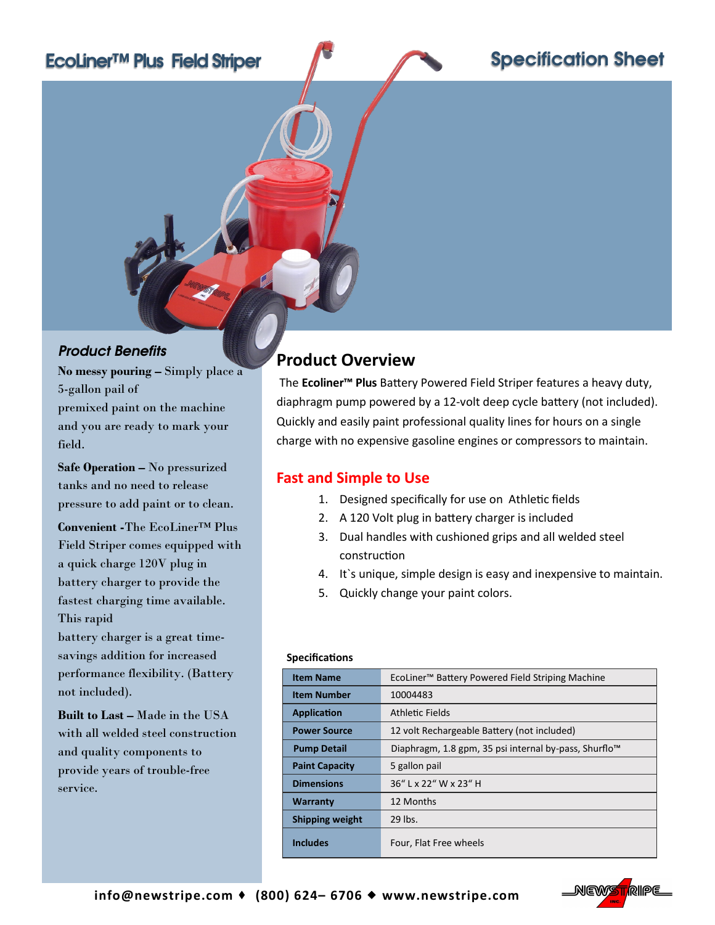# EcoLiner™ Plus Field Striper

## Specification Sheet

#### *Product Benefits*

**No messy pouring –** Simply place a 5-gallon pail of premixed paint on the machine and you are ready to mark your field.

**Safe Operation –** No pressurized tanks and no need to release pressure to add paint or to clean.

**Convenient -**The EcoLiner™ Plus Field Striper comes equipped with a quick charge 120V plug in battery charger to provide the fastest charging time available. This rapid

battery charger is a great timesavings addition for increased performance flexibility. (Battery not included).

**Built to Last –** Made in the USA with all welded steel construction and quality components to provide years of trouble-free service.

## **Product Overview**

The **Ecoliner™ Plus** Battery Powered Field Striper features a heavy duty, diaphragm pump powered by a 12-volt deep cycle battery (not included). Quickly and easily paint professional quality lines for hours on a single charge with no expensive gasoline engines or compressors to maintain.

### **Fast and Simple to Use**

- 1. Designed specifically for use on Athletic fields
- 2. A 120 Volt plug in battery charger is included
- 3. Dual handles with cushioned grips and all welded steel construction
- 4. It`s unique, simple design is easy and inexpensive to maintain.
- 5. Quickly change your paint colors.

#### **Specifications**

| <b>Item Name</b>      | EcoLiner <sup>™</sup> Battery Powered Field Striping Machine      |
|-----------------------|-------------------------------------------------------------------|
| <b>Item Number</b>    | 10004483                                                          |
| Application           | Athletic Fields                                                   |
| <b>Power Source</b>   | 12 volt Rechargeable Battery (not included)                       |
| <b>Pump Detail</b>    | Diaphragm, 1.8 gpm, 35 psi internal by-pass, Shurflo <sup>™</sup> |
| <b>Paint Capacity</b> | 5 gallon pail                                                     |
| <b>Dimensions</b>     | 36" L x 22" W x 23" H                                             |
| <b>Warranty</b>       | 12 Months                                                         |
| Shipping weight       | 29 lbs.                                                           |
| <b>Includes</b>       | Four, Flat Free wheels                                            |